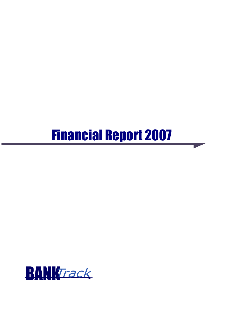# Financial Report 2007

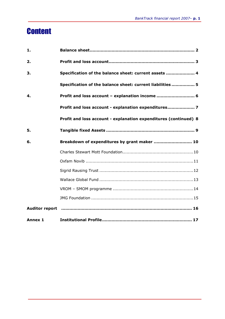# **Content**

| 1.      |                                                                                                        |
|---------|--------------------------------------------------------------------------------------------------------|
| 2.      |                                                                                                        |
| З.      | Specification of the balance sheet: current assets  4                                                  |
|         | Specification of the balance sheet: current liabilities  5                                             |
| 4.      | Profit and loss account - explanation income  6                                                        |
|         | Profit and loss account - explanation expenditures 7                                                   |
|         | Profit and loss account - explanation expenditures (continued) 8                                       |
| 5.      |                                                                                                        |
| 6.      | Breakdown of expenditures by grant maker  10                                                           |
|         |                                                                                                        |
|         |                                                                                                        |
|         |                                                                                                        |
|         |                                                                                                        |
|         |                                                                                                        |
|         |                                                                                                        |
|         | Auditor report manual communication and the manual control of the manual control of the Auditor report |
| Annex 1 |                                                                                                        |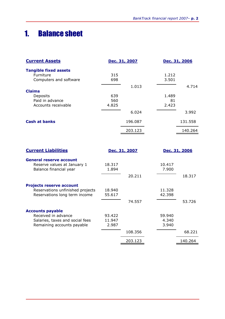# 1. Balance sheet

| <b>Current Assets</b>        |       | Dec. 31, 2007 |       | Dec. 31, 2006 |  |
|------------------------------|-------|---------------|-------|---------------|--|
| <b>Tangible fixed assets</b> |       |               |       |               |  |
| Furniture                    | 315   |               | 1.212 |               |  |
| Computers and software       | 698   |               | 3.501 |               |  |
|                              |       | 1.013         |       | 4.714         |  |
| <b>Claims</b>                |       |               |       |               |  |
| Deposits                     | 639   |               | 1.489 |               |  |
| Paid in advance              | 560   |               | 81    |               |  |
| Accounts receivable          | 4.825 |               | 2.423 |               |  |
|                              |       | 6.024         |       | 3.992         |  |
| <b>Cash at banks</b>         |       | 196.087       |       | 131.558       |  |
|                              |       | 203.123       |       | 140.264       |  |

| <b>Current Liabilities</b>                                                                           |                           | Dec. 31, 2007 |                          | Dec. 31, 2006 |  |
|------------------------------------------------------------------------------------------------------|---------------------------|---------------|--------------------------|---------------|--|
| <b>General reserve account</b><br>Reserve values at January 1<br>Balance financial year              | 18.317<br>1.894           |               | 10.417<br>7.900          |               |  |
|                                                                                                      |                           | 20.211        |                          | 18.317        |  |
| <b>Projects reserve account</b><br>Reservations unfinished projects<br>Reservations long term income | 18.940<br>55.617          |               | 11.328<br>42.398         |               |  |
|                                                                                                      |                           | 74.557        |                          | 53.726        |  |
| <b>Accounts payable</b>                                                                              |                           |               |                          |               |  |
| Received in advance<br>Salaries, taxes and social fees<br>Remaining accounts payable                 | 93.422<br>11.947<br>2.987 |               | 59.940<br>4.340<br>3.940 |               |  |
|                                                                                                      |                           | 108.356       |                          | 68.221        |  |
|                                                                                                      |                           | 203.123       |                          | 140.264       |  |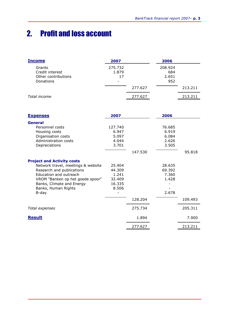# 2. Profit and loss account

| <b>Income</b>                                                 | 2007                                               | 2006                           |         |
|---------------------------------------------------------------|----------------------------------------------------|--------------------------------|---------|
| Grants<br>Credit interest<br>Other contributions<br>Donations | 275.732<br>1.879<br>17<br>$\overline{\phantom{0}}$ | 208.924<br>684<br>2.651<br>952 |         |
|                                                               |                                                    | 277.627                        | 213.211 |
| Total income                                                  |                                                    | 277.627                        | 213.211 |

| <u>Expenses</u>                    | 2007    |         | 2006   |         |
|------------------------------------|---------|---------|--------|---------|
| General                            |         |         |        |         |
| Personnel costs                    | 127.740 |         | 76.685 |         |
| Housing costs                      | 6.947   |         | 6.919  |         |
| Organisation costs                 | 5.097   |         | 6.084  |         |
| Administration costs               | 4.044   |         | 2.626  |         |
| Depreciations                      | 3.701   |         | 3.505  |         |
|                                    |         | 147.530 |        | 95.818  |
| <b>Project and Activity costs</b>  |         |         |        |         |
| Network travel, meetings & website | 25.404  |         | 28.635 |         |
| Research and publications          | 44.309  |         | 69.392 |         |
| Education and outreach             | 1.241   |         | 7.360  |         |
| VROM "Banken op het goede spoor"   | 32.409  |         | 1.428  |         |
| Banks, Climate and Energy          | 16.335  |         |        |         |
| Banks, Human Rights                | 8.506   |         |        |         |
| B-day                              |         |         | 2.678  |         |
|                                    |         | 128.204 |        | 109.493 |
| Total expenses                     |         | 275.734 |        | 205.311 |
| <b>Result</b>                      |         | 1.894   |        | 7.900   |
|                                    |         | 277.627 |        | 213.211 |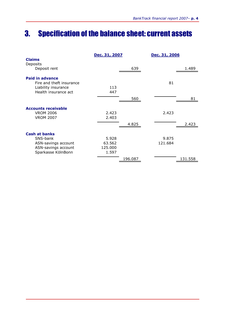# 3. Specification of the balance sheet: current assets

|                                                    | Dec. 31, 2007  |         | Dec. 31, 2006 |         |
|----------------------------------------------------|----------------|---------|---------------|---------|
| <b>Claims</b><br>Deposits                          |                |         |               |         |
| Deposit rent                                       |                | 639     |               | 1.489   |
| <b>Paid in advance</b><br>Fire and theft insurance |                |         | 81            |         |
| Liability insurance<br>Health insurance act        | 113<br>447     |         |               |         |
|                                                    |                | 560     |               | 81      |
| <b>Accounts receivable</b>                         |                |         |               |         |
| <b>VROM 2006</b><br><b>VROM 2007</b>               | 2.423<br>2.403 |         | 2.423         |         |
|                                                    |                | 4.825   |               | 2.423   |
| <b>Cash at banks</b>                               |                |         |               |         |
| SNS-bank                                           | 5.928          |         | 9.875         |         |
| ASN-savings account                                | 63.562         |         | 121.684       |         |
| ASN-savings account                                | 125.000        |         |               |         |
| Sparkasse KölnBonn                                 | 1.597          |         |               |         |
|                                                    |                | 196.087 |               | 131.558 |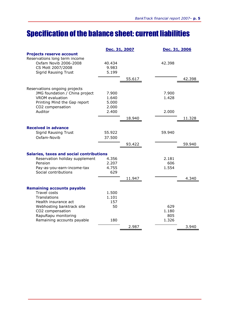# Specification of the balance sheet: current liabilities

|                                    |                                                          | Dec. 31, 2006                |        |
|------------------------------------|----------------------------------------------------------|------------------------------|--------|
| 40.434<br>9.983<br>5.199           |                                                          | 42.398                       |        |
|                                    | 55.617                                                   |                              | 42.398 |
| 7.900<br>1.640<br>5.000<br>2.000   |                                                          | 7.900<br>1.428               |        |
|                                    |                                                          |                              |        |
|                                    |                                                          |                              | 11.328 |
| 55.922<br>37.500                   |                                                          | 59.940                       |        |
|                                    | 93.422                                                   |                              | 59.940 |
|                                    |                                                          |                              |        |
| 4.356<br>2.207<br>4.755<br>629     |                                                          | 2.181<br>606<br>1.554        |        |
|                                    | 11.947                                                   |                              | 4.340  |
| 1.500<br>1.101<br>157<br>50<br>180 |                                                          | 629<br>1.180<br>805<br>1.326 |        |
|                                    | 2.987                                                    |                              | 3.940  |
|                                    | 2.400<br><b>Salaries, taxes and social contributions</b> | Dec. 31, 2007<br>18.940      | 2.000  |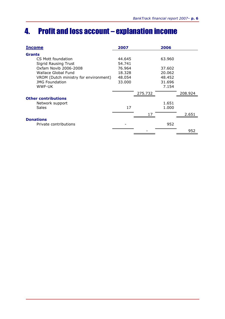# 4. Profit and loss account – explanation income

| <b>Income</b>                         | 2007   |         | 2006   |         |
|---------------------------------------|--------|---------|--------|---------|
| <b>Grants</b>                         |        |         |        |         |
| CS Mott foundation                    | 44.645 |         | 63.960 |         |
| <b>Sigrid Rausing Trust</b>           | 54.741 |         |        |         |
| Oxfam Novib 2006-2008                 | 76.964 |         | 37.602 |         |
| Wallace Global Fund                   | 18.328 |         | 20.062 |         |
| VROM (Dutch ministry for environment) | 48.054 |         | 48.452 |         |
| <b>IMG Foundation</b>                 | 33.000 |         | 31.696 |         |
| WWF-UK                                |        |         | 7.154  |         |
|                                       |        | 275.732 |        | 208.924 |
| <b>Other contributions</b>            |        |         |        |         |
| Network support                       |        |         | 1.651  |         |
| <b>Sales</b>                          | 17     |         | 1.000  |         |
|                                       |        | 17      |        | 2.651   |
| <b>Donations</b>                      |        |         |        |         |
| Private contributions                 |        |         | 952    |         |
|                                       |        |         |        | 952     |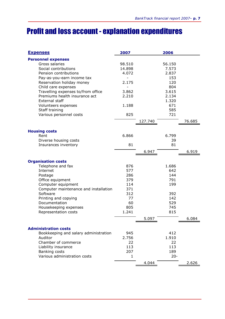# Profit and loss account - explanation expenditures

| <b>Expenses</b>                                                      | 2007   |         | 2006     |        |
|----------------------------------------------------------------------|--------|---------|----------|--------|
| <b>Personnel expenses</b>                                            |        |         |          |        |
| Gross salaries                                                       | 98.510 |         | 56.150   |        |
| Social contributions                                                 | 14.898 |         | 7.573    |        |
| Pension contributions                                                | 4.072  |         | 2.837    |        |
| Pay-as-you-earn income tax                                           |        |         | 153      |        |
| Reservation holiday money                                            | 2.175  |         | 120      |        |
| Child care expenses                                                  |        |         | 804      |        |
| Travelling expenses to/from office                                   | 3.862  |         | 3.615    |        |
| Premiums health insurance act                                        | 2.210  |         | 2.134    |        |
| External staff                                                       |        |         | 1.320    |        |
| Volunteers expenses                                                  | 1.188  |         | 671      |        |
| Staff training                                                       |        |         | 585      |        |
| Various personnel costs                                              | 825    |         | 721      |        |
|                                                                      |        | 127.740 |          | 76.685 |
|                                                                      |        |         |          |        |
| <b>Housing costs</b>                                                 | 6.866  |         |          |        |
| Rent                                                                 |        |         | 6.799    |        |
| Diverse housing costs                                                | 81     |         | 39<br>81 |        |
| Insurances inventory                                                 |        |         |          |        |
|                                                                      |        | 6.947   |          | 6.919  |
| <b>Organisation costs</b>                                            |        |         |          |        |
| Telephone and fax                                                    | 876    |         | 1.686    |        |
| Internet                                                             | 577    |         | 642      |        |
| Postage                                                              | 286    |         | 144      |        |
| Office equipment                                                     | 379    |         | 791      |        |
| Computer equipment                                                   | 114    |         | 199      |        |
| Computer maintenance and installation                                | 371    |         |          |        |
| Software                                                             | 312    |         | 392      |        |
| Printing and copying                                                 | 77     |         | 142      |        |
| Documentation                                                        | 60     |         | 529      |        |
| Housekeeping expenses                                                | 805    |         | 745      |        |
| Representation costs                                                 | 1.241  |         | 815      |        |
|                                                                      |        | 5.097   |          | 6.084  |
|                                                                      |        |         |          |        |
| <b>Administration costs</b><br>Bookkeeping and salary administration | 945    |         | 412      |        |
| Auditor                                                              | 2.756  |         | 1.910    |        |
| Chamber of commerce                                                  | 22     |         | 22       |        |
| Liability insurance                                                  | 113    |         | 113      |        |
| Banking costs                                                        | 207    |         | 189      |        |
| Various administration costs                                         | 1      |         | $20 -$   |        |
|                                                                      |        |         |          |        |
|                                                                      |        | 4.044   |          | 2.626  |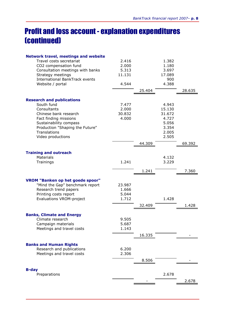# Profit and loss account - explanation expenditures (continued)

| <b>Network travel, meetings and website</b> |        |        |        |        |
|---------------------------------------------|--------|--------|--------|--------|
| Travel costs secretariat                    | 2.416  |        | 1.382  |        |
| CO2 compensation fund                       | 2.000  |        | 1.180  |        |
| Consultation meetings with banks            | 5.313  |        | 3.697  |        |
| Strategy meetings                           | 11.131 |        | 17.089 |        |
| <b>International BankTrack events</b>       |        |        | 900    |        |
| Website / portal                            | 4.544  |        | 4.388  |        |
|                                             |        | 25.404 |        | 28.635 |
|                                             |        |        |        |        |
| <b>Research and publications</b>            |        |        |        |        |
| South fund                                  | 7.477  |        | 4.943  |        |
| Consultants                                 | 2.000  |        | 15.130 |        |
| Chinese bank research                       | 30.832 |        | 31.672 |        |
| Fact finding missions                       | 4.000  |        | 4.727  |        |
| Sustainability compass                      |        |        | 5.056  |        |
| Production "Shaping the Future"             |        |        | 3.354  |        |
| Translations                                |        |        | 2.005  |        |
| Video productions                           |        |        | 2.505  |        |
|                                             |        | 44.309 |        | 69.392 |
| <b>Training and outreach</b>                |        |        |        |        |
| Materials                                   |        |        | 4.132  |        |
| Trainings                                   | 1.241  |        | 3.229  |        |
|                                             |        |        |        |        |
|                                             |        | 1.241  |        | 7.360  |
| <b>VROM "Banken op het goede spoor"</b>     |        |        |        |        |
| "Mind the Gap" benchmark report             | 23.987 |        |        |        |
| Research trend papers                       | 1.666  |        |        |        |
| Printing costs report                       | 5.044  |        |        |        |
| <b>Evaluations VROM-project</b>             | 1.712  |        | 1.428  |        |
|                                             |        | 32.409 |        | 1.428  |
|                                             |        |        |        |        |
| <b>Banks, Climate and Energy</b>            |        |        |        |        |
| Climate research                            | 9.505  |        |        |        |
| Campaign materials                          | 5.687  |        |        |        |
| Meetings and travel costs                   | 1.143  |        |        |        |
|                                             |        | 16.335 |        |        |
| <b>Banks and Human Rights</b>               |        |        |        |        |
| Research and publications                   | 6.200  |        |        |        |
| Meetings and travel costs                   | 2.306  |        |        |        |
|                                             |        | 8.506  |        |        |
|                                             |        |        |        |        |
| <b>B-day</b>                                |        |        |        |        |
| Preparations                                |        |        | 2.678  |        |
|                                             |        |        |        | 2.678  |
|                                             |        |        |        |        |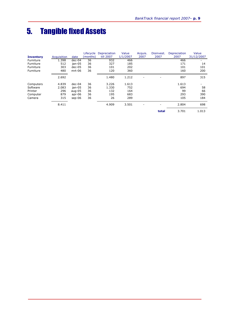# 5. Tangible fixed Assets

|                  |             |           | Lifecycle | Depreciation | Value    | Acquis.                      | Disinvest. | Depreciation | Value                    |
|------------------|-------------|-----------|-----------|--------------|----------|------------------------------|------------|--------------|--------------------------|
| <b>Inventory</b> | Acquisition | date      | (months)  | till 2007    | 1/1/2007 | 2007                         | 2007       | 2007         | 31/12/2007               |
| Furniture        | 1.398       | $dec-04$  | 36        | 932          | 466      |                              |            | 466          |                          |
| Furniture        | 512         | ian-05    | 36        | 327          | 185      |                              |            | 171          | 14                       |
| Furniture        | 303         | $dec-05$  | 36        | 101          | 202      |                              |            | 101          | 101                      |
| Furniture        | 480         | $mrt-06$  | 36        | 120          | 360      |                              |            | 160          | 200                      |
|                  | 2.692       |           |           | 1.480        | 1.212    |                              |            | 897          | 315                      |
| Computers        | 4.839       | $dec-04$  | 36        | 3.226        | 1.613    |                              |            | 1.613        | $\overline{\phantom{0}}$ |
| Software         | 2.083       | jan-05    | 36        | 1.330        | 752      |                              |            | 694          | 58                       |
| Printer          | 296         | aug- $05$ | 36        | 132          | 164      |                              |            | 99           | 66                       |
| Computer         | 879         | $apr-06$  | 36        | 195          | 683      |                              |            | 293          | 390                      |
| Camera           | 315         | $sep-06$  | 36        | 26           | 289      |                              |            | 105          | 184                      |
|                  | 8.411       |           |           | 4.909        | 3.501    | $\qquad \qquad \blacksquare$ |            | 2.804        | 698                      |
|                  |             |           |           |              |          |                              | total      | 3.701        | 1.013                    |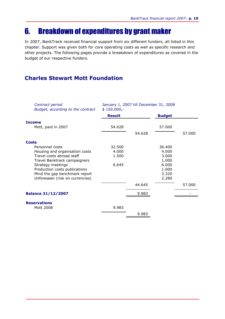# 6. Breakdown of expenditures by grant maker

In 2007, BankTrack received financial support from six different funders, all listed in this chapter. Support was given both for core operating costs as well as specific research and other projects. The following pages provide a breakdown of expenditures as covered in the budget of our respective funders.

### Charles Stewart Mott Foundation

| Contract period<br>Budget, according to the contract           | January 1, 2007 till December 31, 2008<br>$$150.000,-$ |        |                |        |  |
|----------------------------------------------------------------|--------------------------------------------------------|--------|----------------|--------|--|
|                                                                | <b>Result</b>                                          |        | <b>Budget</b>  |        |  |
| <b>Income</b>                                                  |                                                        |        |                |        |  |
| Mott, paid in 2007                                             | 54.628                                                 |        | 57.000         |        |  |
|                                                                |                                                        | 54.628 |                | 57.000 |  |
| <b>Costs</b>                                                   |                                                        |        |                |        |  |
| Personnel costs                                                | 32.500                                                 |        | 36.400         |        |  |
| Housing and organisation costs                                 | 4.000                                                  |        | 4.000          |        |  |
| Travel costs abroad staff                                      | 1.500                                                  |        | 3.000          |        |  |
| Travel Banktrack campaigners                                   |                                                        |        | 1.000          |        |  |
| Strategy meetings                                              | 6.645                                                  |        | 6.000          |        |  |
| Production costs publications<br>Mind the gap benchmark report |                                                        |        | 1.000          |        |  |
| Unforeseen (risk on currencies)                                |                                                        |        | 3.320<br>2.280 |        |  |
|                                                                |                                                        |        |                |        |  |
|                                                                |                                                        | 44.645 |                | 57.000 |  |
| <b>Balance 31/12/2007</b>                                      |                                                        | 9.983  |                |        |  |
| <b>Reservations</b>                                            |                                                        |        |                |        |  |
| Mott 2008                                                      | 9.983                                                  |        |                |        |  |
|                                                                |                                                        | 9.983  |                |        |  |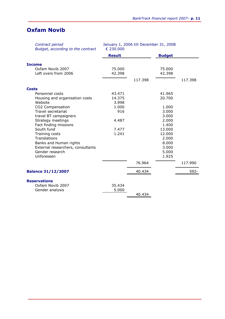### Oxfam Novib

| Contract period<br>Budget, according to the contract | January 1, 2006 till December 31, 2008<br>€ 230,000 |         |                |         |
|------------------------------------------------------|-----------------------------------------------------|---------|----------------|---------|
|                                                      | <b>Result</b>                                       |         | <b>Budget</b>  |         |
| <b>Income</b>                                        |                                                     |         |                |         |
| Oxfam Novib 2007                                     | 75.000                                              |         | 75.000         |         |
| Left overs from 2006                                 | 42.398                                              |         | 42.398         |         |
|                                                      |                                                     | 117.398 |                | 117.398 |
| <b>Costs</b>                                         |                                                     |         |                |         |
| Personnel costs                                      | 43.471                                              |         | 41.965         |         |
| Housing and organisation costs                       | 14.375                                              |         | 20,700         |         |
| Website                                              | 3.998                                               |         |                |         |
| CO2 Compensation                                     | 1.000                                               |         | 1.000          |         |
| Travel secretariat                                   | 916                                                 |         | 3.000          |         |
| travel BT campaigners<br>Strategy meetings           | 4.487                                               |         | 3.000<br>2.000 |         |
| Fact finding missions                                |                                                     |         | 1.400          |         |
| South fund                                           | 7.477                                               |         | 13.000         |         |
| Training costs                                       | 1.241                                               |         | 12.000         |         |
| Translations                                         |                                                     |         | 2.000          |         |
| Banks and Human rights                               |                                                     |         | 8.000          |         |
| External researchers, consultants                    |                                                     |         | 3.000          |         |
| Gender research                                      |                                                     |         | 5.000          |         |
| Unforeseen                                           |                                                     |         | 1.925          |         |
|                                                      |                                                     | 76.964  |                | 117.990 |
| <b>Balance 31/12/2007</b>                            |                                                     | 40.434  |                | 592-    |
| <b>Reservations</b>                                  |                                                     |         |                |         |
| Oxfam Novib 2007                                     | 35.434                                              |         |                |         |
| Gender analysis                                      | 5.000                                               |         |                |         |
|                                                      |                                                     | 40.434  |                |         |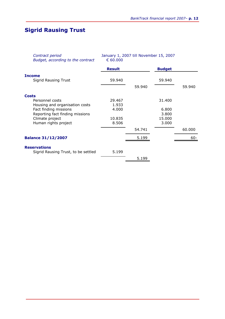### Sigrid Rausing Trust

| Contract period<br>Budget, according to the contract | January 1, 2007 till November 15, 2007<br>€ 60.000 |        |               |        |
|------------------------------------------------------|----------------------------------------------------|--------|---------------|--------|
|                                                      | <b>Result</b>                                      |        | <b>Budget</b> |        |
| <b>Income</b>                                        |                                                    |        |               |        |
| <b>Sigrid Rausing Trust</b>                          | 59.940                                             |        | 59.940        |        |
|                                                      |                                                    | 59.940 |               | 59.940 |
| <b>Costs</b>                                         |                                                    |        |               |        |
| Personnel costs                                      | 29.467                                             |        | 31.400        |        |
| Housing and organisation costs                       | 1.933                                              |        |               |        |
| Fact finding missions                                | 4.000                                              |        | 6.800         |        |
| Reporting fact finding missions                      |                                                    |        | 3.800         |        |
| Climate project                                      | 10.835                                             |        | 15.000        |        |
| Human rights project                                 | 8.506                                              |        | 3.000         |        |
|                                                      |                                                    | 54.741 |               | 60.000 |
| <b>Balance 31/12/2007</b>                            |                                                    | 5.199  |               | $60 -$ |
| <b>Reservations</b>                                  |                                                    |        |               |        |
| Sigrid Rausing Trust, to be settled                  | 5.199                                              |        |               |        |
|                                                      |                                                    | 5.199  |               |        |
|                                                      |                                                    |        |               |        |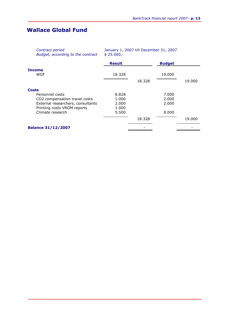### Wallace Global Fund

| Contract period<br>Budget, according to the contract | January 1, 2007 till December 31, 2007<br>$$25.000,-$ |        |               |        |
|------------------------------------------------------|-------------------------------------------------------|--------|---------------|--------|
|                                                      | <b>Result</b>                                         |        | <b>Budget</b> |        |
| Income                                               |                                                       |        |               |        |
| WGF                                                  | 18.328                                                |        | 19.000        |        |
|                                                      |                                                       | 18,328 |               | 19.000 |
| Costs                                                |                                                       |        |               |        |
| Personnel costs                                      | 8.828                                                 |        | 7.000         |        |
| CO2 compensation travel costs                        | 1.000                                                 |        | 2.000         |        |
| External researchers, consultants                    | 2.000                                                 |        | 2.000         |        |
| Printing costs VROM reports                          | 1.000                                                 |        |               |        |
| Climate research                                     | 5.500                                                 |        | 8.000         |        |
|                                                      |                                                       | 18.328 |               | 19.000 |
| <b>Balance 31/12/2007</b>                            |                                                       |        |               |        |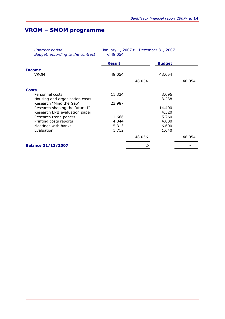### VROM – SMOM programme

| Contract period<br>Budget, according to the contract | January 1, 2007 till December 31, 2007<br>€ 48.054 |        |               |        |
|------------------------------------------------------|----------------------------------------------------|--------|---------------|--------|
|                                                      | <b>Result</b>                                      |        | <b>Budget</b> |        |
| Income                                               |                                                    |        |               |        |
| <b>VROM</b>                                          | 48.054                                             |        | 48.054        |        |
|                                                      |                                                    | 48.054 |               | 48.054 |
| Costs                                                |                                                    |        |               |        |
| Personnel costs                                      | 11.334                                             |        | 8.096         |        |
| Housing and organisation costs                       |                                                    |        | 3.238         |        |
| Research "Mind the Gap"                              | 23,987                                             |        |               |        |
| Research shaping the future II                       |                                                    |        | 14.400        |        |
| Research EPII evaluation paper                       |                                                    |        | 4.320         |        |
| Research trend papers                                | 1.666                                              |        | 5.760         |        |
| Printing costs reports                               | 4.044                                              |        | 4.000         |        |
| Meetings with banks                                  | 5.313                                              |        | 6.600         |        |
| Evaluation                                           | 1.712                                              |        | 1.640         |        |
|                                                      |                                                    | 48.056 |               | 48.054 |
| <b>Balance 31/12/2007</b>                            |                                                    |        |               |        |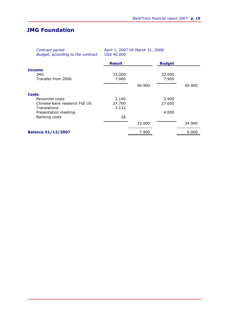### JMG Foundation

| Contract period<br>Budget, according to the contract | April 1, 2007 till March 31, 2008<br>US\$ 40.000 |        |               |        |
|------------------------------------------------------|--------------------------------------------------|--------|---------------|--------|
|                                                      | <b>Result</b>                                    |        | <b>Budget</b> |        |
| Income                                               |                                                  |        |               |        |
| JMG                                                  | 33,000                                           |        | 33.000        |        |
| Transfer from 2006                                   | 7.900                                            |        | 7.900         |        |
|                                                      |                                                  | 40.900 |               | 40.900 |
| Costs                                                |                                                  |        |               |        |
| Personnel costs                                      | 2.140                                            |        | 3.900         |        |
| Chinese bank research FoE US                         | 27.700                                           |        | 27,000        |        |
| <b>Translations</b>                                  | 3.132                                            |        |               |        |
| Presentation meeting                                 |                                                  |        | 4.000         |        |
| Banking costs                                        | 28                                               |        |               |        |
|                                                      |                                                  | 33.000 |               | 34.900 |
| <b>Balance 31/12/2007</b>                            |                                                  | 7.900  |               | 6.000  |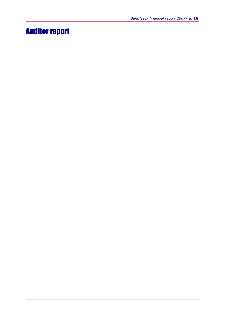# Auditor report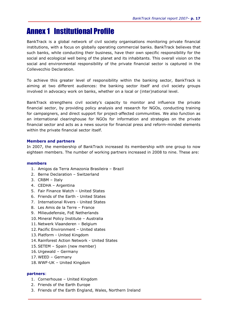# Annex 1 Institutional Profile

BankTrack is a global network of civil society organisations monitoring private financial institutions, with a focus on globally operating commercial banks. BankTrack believes that such banks, while conducting their business, have their own specific responsibility for the social and ecological well being of the planet and its inhabitants. This overall vision on the social and environmental responsibility of the private financial sector is captured in the Collevecchio Declaration.

To achieve this greater level of responsibility within the banking sector, BankTrack is aiming at two different audiences: the banking sector itself and civil society groups involved in advocacy work on banks, whether on a local or (inter)national level.

BankTrack strengthens civil society's capacity to monitor and influence the private financial sector, by providing policy analysis and research for NGOs, conducting training for campaigners, and direct support for project-affected communities. We also function as an international clearinghouse for NGOs for information and strategies on the private financial sector and acts as a news source for financial press and reform-minded elements within the private financial sector itself.

#### Members and partners

In 2007, the membership of BankTrack increased its membership with one group to now eighteen members. The number of working partners increased in 2008 to nine. These are:

#### members

- 1. Amigos da Terra Amazonia Brasileira Brazil
- 2. Berne Declaration Switzerland
- 3. CRBM Italy
- 4. CEDHA Argentina
- 5. Fair Finance Watch United States
- 6. Friends of the Earth United States
- 7. International Rivers United States
- 8. Les Amis de la Terre France
- 9. Milieudefensie, FoE Netherlands
- 10. Mineral Policy Institute Australia
- 11. Netwerk Vlaanderen Belgium
- 12. Pacific Environment United states
- 13. Platform United Kingdom
- 14.Rainforest Action Network United States
- 15.SETEM Spain (new member)
- 16. Urgewald Germany
- 17. WEED Germany
- 18. WWF-UK United Kingdom

#### partners:

- 1. Cornerhouse United Kingdom
- 2. Friends of the Earth Europe
- 3. Friends of the Earth England, Wales, Northern Ireland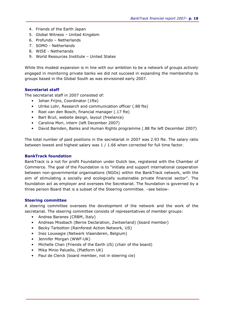- 4. Friends of the Earth Japan
- 5. Global Witness United Kingdom
- 6. Profundo Netherlands
- 7. SOMO Netherlands
- 8. WISE Netherlands
- 9. World Resources Institute United States

While this modest expansion is in line with our ambition to be a network of groups actively engaged in monitoring private banks we did not succeed in expanding the membership to groups based in the Global South as was envisioned early 2007.

#### Secretariat staff

The secretariat staff in 2007 consisted of:

- Johan Frijns, Coordinator (1fte)
- Ulrike Lohr, Research and communication officer (.88 fte)
- Roel van den Bosch, financial manager (.17 fte)
- Bart Bruil, website design, layout (freelance)
- Carolina Mori, intern (left December 2007)
- David Barnden, Banks and Human Rights programme (.88 fte left December 2007)

The total number of paid positions in the secretariat in 2007 was 2.93 fte. The salary ratio between lowest and highest salary was 1 / 1.66 when corrected for full time factor.

#### BankTrack foundation

BankTrack is a not for profit Foundation under Dutch law, registered with the Chamber of Commerce. The goal of the Foundation is to "initiate and support international cooperation between non-governmental organisations (NGOs) within the BankTrack network, with the aim of stimulating a socially and ecologically sustainable private financial sector". The foundation act as employer and oversees the Secretariat. The foundation is governed by a three person Board that is a subset of the Steering committee. -see below-

#### Steering committee

A steering committee oversees the development of the network and the work of the secretariat. The steering committee consists of representatives of member groups:

- Andrea Baranes (CRBM, Italy)
- Andreas Missbach (Berne Declaration, Zwitserland) (board member)
- Becky Tarbotton (Rainforest Action Network, US)
- Inez Louwagie (Netwerk Vlaanderen, Belgium)
- Jennifer Morgan (WWF-UK)
- Michelle Chan (Friends of the Earth US) (chair of the board)
- Mika Minio Paluello, (Platform UK)
- Paul de Clerck (board member, not in steering cie)